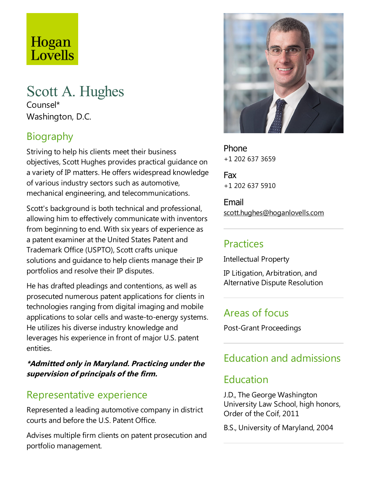# Hogan Lovells

# Scott A. Hughes

Counsel\* Washington, D.C.

# Biography

Striving to help his clients meet their business objectives, Scott Hughes provides practical guidance on avariety of IP matters. He offers widespread knowledge of various industry sectors such as automotive, mechanical engineering, and telecommunications.

Scott's background is both technical and professional, allowing him to effectively communicate with inventors from beginning to end. With six years of experience as a patent examiner at the United States Patent and Trademark Office (USPTO), Scott crafts unique solutions and quidance to help clients manage their IP portfolios and resolve their IP disputes.

He has drafted pleadings and contentions, as well as prosecuted numerous patent applications for clients in technologies ranging from digital imaging and mobile applications to solar cells and waste-to-energy systems. He utilizes his diverse industry knowledge and leverages his experience in front of major U.S. patent entities.

#### **\*Admitted only in Maryland. Practicing under the supervision of principals of the firm.**

## Representative experience

Represented a leading automotive company in district courts and before the U.S. Patent Office.

Advises multiple firm clients on patent prosecution and portfolio management.



Phone +1 202 637 3659

Fax +1 202 637 5910

Email scott.hughes@hoganlovells.com

### Practices

Intellectual Property

IP Litigation, Arbitration, and Alternative Dispute Resolution

## Areas of focus

Post-Grant Proceedings

# Education and admissions

### Education

J.D., The George Washington University Law School, high honors, Order of the Coif, 2011

B.S., University of Maryland, 2004